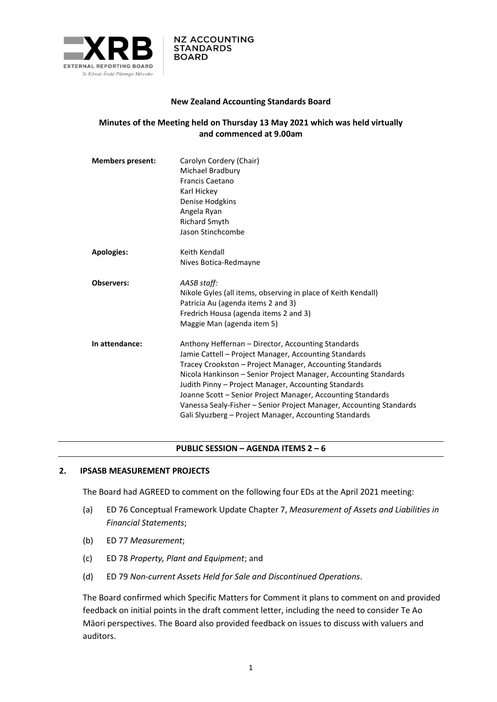

#### **New Zealand Accounting Standards Board**

# **Minutes of the Meeting held on Thursday 13 May 2021 which was held virtually and commenced at 9.00am**

| <b>Members present:</b> | Carolyn Cordery (Chair)<br>Michael Bradbury<br><b>Francis Caetano</b><br>Karl Hickey<br>Denise Hodgkins<br>Angela Ryan<br><b>Richard Smyth</b><br>Jason Stinchcombe                                                                                                                                                                                                                                                                                                                                |
|-------------------------|----------------------------------------------------------------------------------------------------------------------------------------------------------------------------------------------------------------------------------------------------------------------------------------------------------------------------------------------------------------------------------------------------------------------------------------------------------------------------------------------------|
| <b>Apologies:</b>       | Keith Kendall<br>Nives Botica-Redmayne                                                                                                                                                                                                                                                                                                                                                                                                                                                             |
| <b>Observers:</b>       | AASB staff:<br>Nikole Gyles (all items, observing in place of Keith Kendall)<br>Patricia Au (agenda items 2 and 3)<br>Fredrich Housa (agenda items 2 and 3)<br>Maggie Man (agenda item 5)                                                                                                                                                                                                                                                                                                          |
| In attendance:          | Anthony Heffernan - Director, Accounting Standards<br>Jamie Cattell - Project Manager, Accounting Standards<br>Tracey Crookston - Project Manager, Accounting Standards<br>Nicola Hankinson - Senior Project Manager, Accounting Standards<br>Judith Pinny – Project Manager, Accounting Standards<br>Joanne Scott – Senior Project Manager, Accounting Standards<br>Vanessa Sealy-Fisher - Senior Project Manager, Accounting Standards<br>Gali Slyuzberg - Project Manager, Accounting Standards |

#### **PUBLIC SESSION – AGENDA ITEMS 2 – 6**

#### **2. IPSASB MEASUREMENT PROJECTS**

The Board had AGREED to comment on the following four EDs at the April 2021 meeting:

- (a) ED 76 Conceptual Framework Update Chapter 7, *Measurement of Assets and Liabilities in Financial Statements*;
- (b) ED 77 *Measurement*;
- (c) ED 78 *Property, Plant and Equipment*; and
- (d) ED 79 *Non-current Assets Held for Sale and Discontinued Operations*.

The Board confirmed which Specific Matters for Comment it plans to comment on and provided feedback on initial points in the draft comment letter, including the need to consider Te Ao Māori perspectives. The Board also provided feedback on issues to discuss with valuers and auditors.